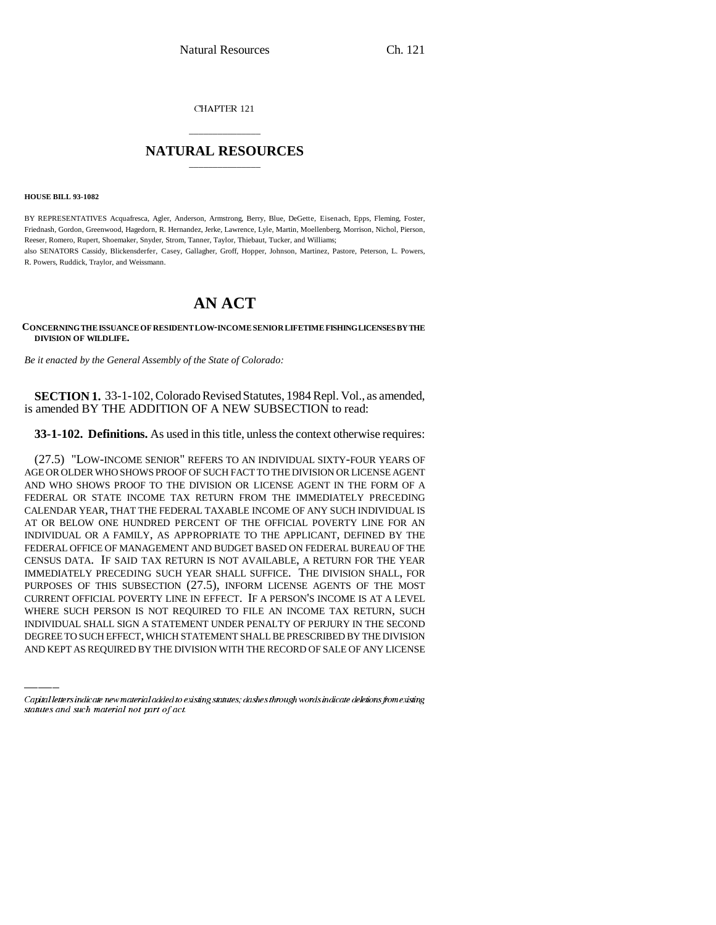CHAPTER 121

## \_\_\_\_\_\_\_\_\_\_\_\_\_\_\_ **NATURAL RESOURCES** \_\_\_\_\_\_\_\_\_\_\_\_\_\_\_

**HOUSE BILL 93-1082**

R. Powers, Ruddick, Traylor, and Weissmann.

BY REPRESENTATIVES Acquafresca, Agler, Anderson, Armstrong, Berry, Blue, DeGette, Eisenach, Epps, Fleming, Foster, Friednash, Gordon, Greenwood, Hagedorn, R. Hernandez, Jerke, Lawrence, Lyle, Martin, Moellenberg, Morrison, Nichol, Pierson, Reeser, Romero, Rupert, Shoemaker, Snyder, Strom, Tanner, Taylor, Thiebaut, Tucker, and Williams; also SENATORS Cassidy, Blickensderfer, Casey, Gallagher, Groff, Hopper, Johnson, Martinez, Pastore, Peterson, L. Powers,

## **AN ACT**

**CONCERNING THE ISSUANCE OF RESIDENT LOW-INCOME SENIOR LIFETIME FISHING LICENSES BY THE DIVISION OF WILDLIFE.**

*Be it enacted by the General Assembly of the State of Colorado:*

**SECTION 1.** 33-1-102, Colorado Revised Statutes, 1984 Repl. Vol., as amended, is amended BY THE ADDITION OF A NEW SUBSECTION to read:

**33-1-102. Definitions.** As used in this title, unless the context otherwise requires:

CURRENT OFFICIAL POVERTY LINE IN EFFECT. IF A PERSON'S INCOME IS AT A LEVEL (27.5) "LOW-INCOME SENIOR" REFERS TO AN INDIVIDUAL SIXTY-FOUR YEARS OF AGE OR OLDER WHO SHOWS PROOF OF SUCH FACT TO THE DIVISION OR LICENSE AGENT AND WHO SHOWS PROOF TO THE DIVISION OR LICENSE AGENT IN THE FORM OF A FEDERAL OR STATE INCOME TAX RETURN FROM THE IMMEDIATELY PRECEDING CALENDAR YEAR, THAT THE FEDERAL TAXABLE INCOME OF ANY SUCH INDIVIDUAL IS AT OR BELOW ONE HUNDRED PERCENT OF THE OFFICIAL POVERTY LINE FOR AN INDIVIDUAL OR A FAMILY, AS APPROPRIATE TO THE APPLICANT, DEFINED BY THE FEDERAL OFFICE OF MANAGEMENT AND BUDGET BASED ON FEDERAL BUREAU OF THE CENSUS DATA. IF SAID TAX RETURN IS NOT AVAILABLE, A RETURN FOR THE YEAR IMMEDIATELY PRECEDING SUCH YEAR SHALL SUFFICE. THE DIVISION SHALL, FOR PURPOSES OF THIS SUBSECTION (27.5), INFORM LICENSE AGENTS OF THE MOST WHERE SUCH PERSON IS NOT REQUIRED TO FILE AN INCOME TAX RETURN, SUCH INDIVIDUAL SHALL SIGN A STATEMENT UNDER PENALTY OF PERJURY IN THE SECOND DEGREE TO SUCH EFFECT, WHICH STATEMENT SHALL BE PRESCRIBED BY THE DIVISION AND KEPT AS REQUIRED BY THE DIVISION WITH THE RECORD OF SALE OF ANY LICENSE

Capital letters indicate new material added to existing statutes; dashes through words indicate deletions from existing statutes and such material not part of act.